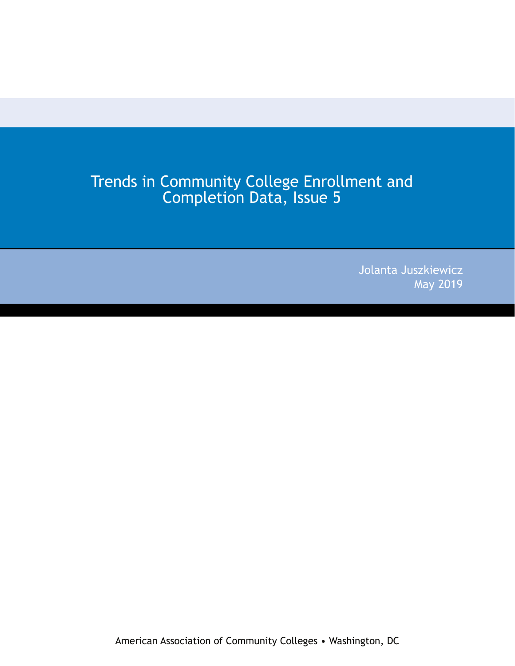# Trends in Community College Enrollment and Completion Data, Issue 5

Jolanta Juszkiewicz May 2019

American Association of Community Colleges • Washington, DC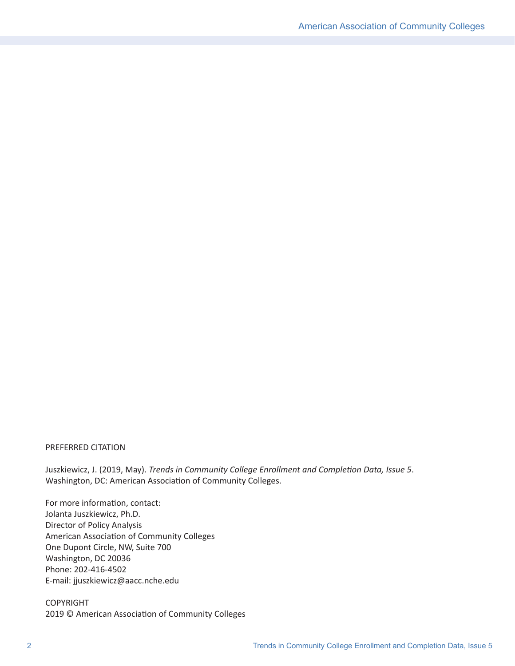#### PREFERRED CITATION

Juszkiewicz, J. (2019, May). *Trends in Community College Enrollment and Completion Data, Issue 5*. Washington, DC: American Association of Community Colleges.

For more information, contact: Jolanta Juszkiewicz, Ph.D. Director of Policy Analysis American Association of Community Colleges One Dupont Circle, NW, Suite 700 Washington, DC 20036 Phone: 202-416-4502 E-mail: jjuszkiewicz@aacc.nche.edu

COPYRIGHT 2019 © American Association of Community Colleges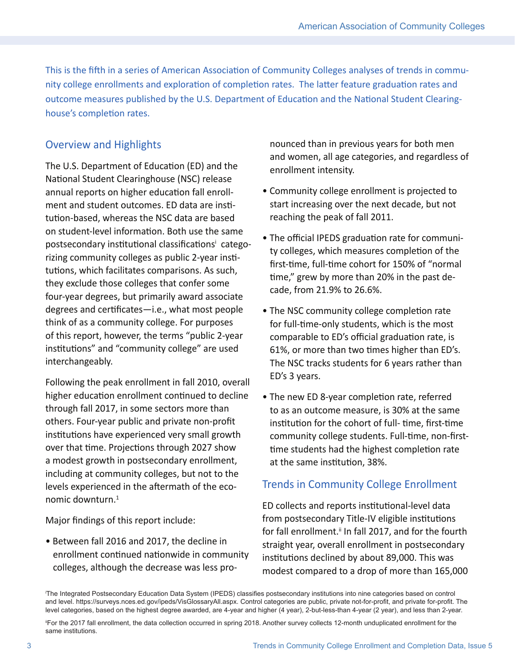This is the fifth in a series of American Association of Community Colleges analyses of trends in community college enrollments and exploration of completion rates. The latter feature graduation rates and outcome measures published by the U.S. Department of Education and the National Student Clearinghouse's completion rates.

## Overview and Highlights

The U.S. Department of Education (ED) and the National Student Clearinghouse (NSC) release annual reports on higher education fall enrollment and student outcomes. ED data are institution-based, whereas the NSC data are based on student-level information. Both use the same postsecondary institutional classifications<sup>i</sup> categorizing community colleges as public 2-year institutions, which facilitates comparisons. As such, they exclude those colleges that confer some four-year degrees, but primarily award associate degrees and certificates—i.e., what most people think of as a community college. For purposes of this report, however, the terms "public 2-year institutions" and "community college" are used interchangeably.

Following the peak enrollment in fall 2010, overall higher education enrollment continued to decline through fall 2017, in some sectors more than others. Four-year public and private non-profit institutions have experienced very small growth over that time. Projections through 2027 show a modest growth in postsecondary enrollment, including at community colleges, but not to the levels experienced in the aftermath of the economic downturn.<sup>1</sup>

Major findings of this report include:

• Between fall 2016 and 2017, the decline in enrollment continued nationwide in community colleges, although the decrease was less pronounced than in previous years for both men and women, all age categories, and regardless of enrollment intensity.

- Community college enrollment is projected to start increasing over the next decade, but not reaching the peak of fall 2011.
- The official IPEDS graduation rate for community colleges, which measures completion of the first-time, full-time cohort for 150% of "normal time," grew by more than 20% in the past decade, from 21.9% to 26.6%.
- The NSC community college completion rate for full-time-only students, which is the most comparable to ED's official graduation rate, is 61%, or more than two times higher than ED's. The NSC tracks students for 6 years rather than ED's 3 years.
- The new ED 8-year completion rate, referred to as an outcome measure, is 30% at the same institution for the cohort of full- time, first-time community college students. Full-time, non-firsttime students had the highest completion rate at the same institution, 38%.

### Trends in Community College Enrollment

ED collects and reports institutional-level data from postsecondary Title-IV eligible institutions for fall enrollment.<sup>ii</sup> In fall 2017, and for the fourth straight year, overall enrollment in postsecondary institutions declined by about 89,000. This was modest compared to a drop of more than 165,000

i The Integrated Postsecondary Education Data System (IPEDS) classifies postsecondary institutions into nine categories based on control and level. https://surveys.nces.ed.gov/ipeds/VisGlossaryAll.aspx. Control categories are public, private not-for-profit, and private for-profit. The level categories, based on the highest degree awarded, are 4-year and higher (4 year), 2-but-less-than 4-year (2 year), and less than 2-year.

iiFor the 2017 fall enrollment, the data collection occurred in spring 2018. Another survey collects 12-month unduplicated enrollment for the same institutions.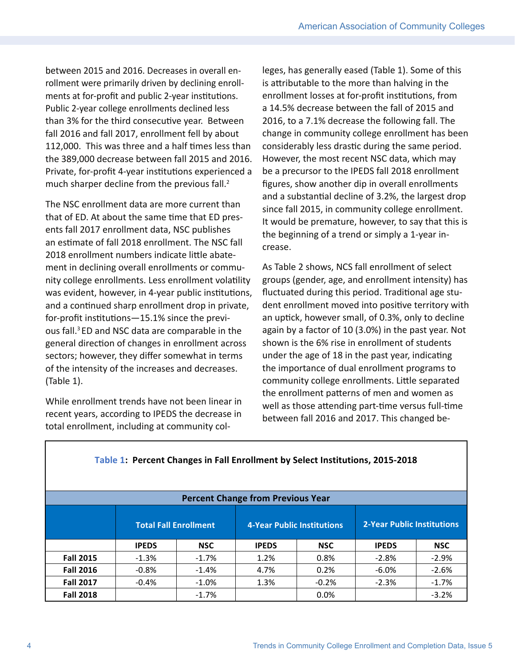between 2015 and 2016. Decreases in overall enrollment were primarily driven by declining enrollments at for-profit and public 2-year institutions. Public 2-year college enrollments declined less than 3% for the third consecutive year. Between fall 2016 and fall 2017, enrollment fell by about 112,000. This was three and a half times less than the 389,000 decrease between fall 2015 and 2016. Private, for-profit 4-year institutions experienced a be a precursor to the IPEDS fall . much sharper decline from the previous fall. $2$ 

The NSC enrollment data are more current than that of ED. At about the same time that ED presents fall 2017 enrollment data, NSC publishes an estimate of fall 2018 enrollment. The NSC fall  $\frac{1}{\alpha}$  rease. 2018 enrollment numbers indicate little abate-<br>
and the solonger of the solonger of the solonger of the solonger of the solonger of the solonger of the solon nity college enrollments. Less enrollment volatility was evident, however, in 4-year public institutions, and a continued sharp enrollment drop in private, for-profit institutions $-15.1\%$  since the previous fall.<sup>3</sup>ED and NSC data are comparable in the general direction of changes in enrollment across shown is the 6% rise in enrollment of students sectors; however, they differ somewhat in terms ander the age of 18 in the past year, indicating of the intensity of the increases and decreases. The importance of dual enrollment programs (Table 1). nts fall 2017 enrollment data, NSC publishes the beginning of a trend or simply a 1-year in-

While enrollment trends have not been linear in recent years, according to IPEDS the decrease in recent years, according to in EDS the decrease in<br>total enrollment, including at community col-

leges, has generally eased (Table 1). Some of this is attributable to the more than halving in the enrollment losses at for-profit institutions, from a 14.5% decrease between the fall of 2015 and 2016, to a 7.1% decrease the following fall. The change in community college enrollment has been considerably less drastic during the same period. I decrease between fall 2015 and 2016. However, the most recent NSC data, which may be a precursor to the IPEDS fall 2018 enrollment figures, show another dip in overall enrollments and a substantial decline of 3.2%, the largest drop since fall 2015, in community college enrollment. It would be premature, however, to say that this is crease.

ment in declining overall enrollments or commu-<br>As Table 2 shows, NCS fall enrollments or commu-As Table 2 shows, NCS fall enrollment of select ity college enrollments. Less enrollment volatility groups (gender, age, and enrollment intensity) has vas evident, however, in 4-year public institutions,  $\;$  fluctuated during this period. Traditional age stund a continued sharp enrollment drop in private, but dent enrollment moved into positive territory with an uptick, however small, of 0.3%, only to decline again by a factor of 10 (3.0%) in the past year. Not shown is the 6% rise in enrollment of students under the age of 18 in the past year, indicating the importance of dual enrollment programs to Fable 1). The enrollments are enrollment and a community college enrollments. Little separated the enrollment patterns of men and women as  $\frac{1}{2}$ . will be all official trends have not been linear in enrol as those attending part-time versus full-time versus full-time between fall 2016 and 2017. This changed be-

| <b>Percent Change from Previous Year</b> |                              |            |                                   |            |                                   |            |  |  |
|------------------------------------------|------------------------------|------------|-----------------------------------|------------|-----------------------------------|------------|--|--|
|                                          | <b>Total Fall Enrollment</b> |            | <b>4-Year Public Institutions</b> |            | <b>2-Year Public Institutions</b> |            |  |  |
|                                          | <b>IPEDS</b>                 | <b>NSC</b> | <b>IPEDS</b>                      | <b>NSC</b> | <b>IPEDS</b>                      | <b>NSC</b> |  |  |
| <b>Fall 2015</b>                         | $-1.3%$                      | $-1.7%$    | 1.2%                              | 0.8%       | $-2.8%$                           | $-2.9%$    |  |  |
| <b>Fall 2016</b>                         | $-0.8%$                      | $-1.4%$    | 4.7%                              | 0.2%       | $-6.0\%$                          | $-2.6%$    |  |  |
| <b>Fall 2017</b>                         | $-0.4%$                      | $-1.0\%$   | 1.3%                              | $-0.2%$    | $-2.3%$                           | $-1.7%$    |  |  |
| <b>Fall 2018</b>                         |                              | $-1.7%$    |                                   | 0.0%       |                                   | $-3.2%$    |  |  |

#### Table 1: Percent Changes in Fall Enrollment by Select Institutions, 2015-2018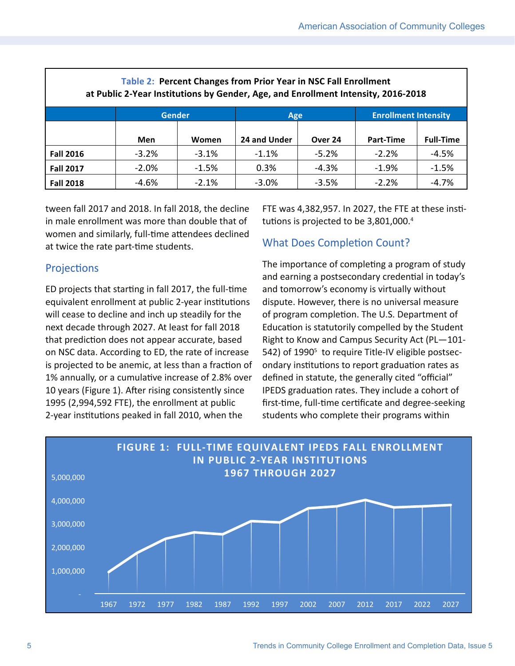| Table 2: Percent Changes from Prior Year in NSC Fall Enrollment<br>at Public 2-Year Institutions by Gender, Age, and Enrollment Intensity, 2016-2018 |               |         |              |         |                             |                  |  |
|------------------------------------------------------------------------------------------------------------------------------------------------------|---------------|---------|--------------|---------|-----------------------------|------------------|--|
|                                                                                                                                                      | <b>Gender</b> |         | Age          |         | <b>Enrollment Intensity</b> |                  |  |
|                                                                                                                                                      |               |         |              |         |                             |                  |  |
|                                                                                                                                                      | Men           | Women   | 24 and Under | Over 24 | Part-Time                   | <b>Full-Time</b> |  |
| <b>Fall 2016</b>                                                                                                                                     | $-3.2%$       | $-3.1%$ | $-1.1%$      | $-5.2%$ | $-2.2%$                     | $-4.5%$          |  |
| <b>Fall 2017</b>                                                                                                                                     | $-2.0%$       | $-1.5%$ | 0.3%         | $-4.3%$ | $-1.9%$                     | $-1.5%$          |  |
| <b>Fall 2018</b>                                                                                                                                     | $-4.6%$       | $-2.1%$ | $-3.0%$      | $-3.5%$ | $-2.2%$                     | $-4.7%$          |  |

#### **Table 2: Percent Changes from Prior Year in NSC Fall Enrollment Table 2: Percent Changes from Prior Year in NSC Fall Enrollment**

tween fall 2017 and 2018. In fall 2018, the decline FTE was 4,382,957. In 2027, the FTE at these in in male enrollment was more than double that of  $t$  tutions is projected to be 3,801,000.<sup>4</sup> women and similarly, full-time attendees declined at twice the rate part-time students. Noting the Mat Does Completion Count?

### **Projections**

ED projects that starting in fall 2017, the full-time ED projects that starting in fail 2017, the rail time<br>equivalent enrollment at public 2-year institutions. will cease to decline and inch up steadily for the next decade through 2027. At least for fall 2018 that prediction does not appear accurate, based on NSC data. According to ED, the rate of increase is projected to be anemic, at less than a fraction of ondary institutions to report graduation rates as 10 years (Figure 1). After rising consistently since lPEDS graduation rates. They include a cohort of 1995 (2,994,592 FTE), the enrollment at public 2-year institutions peaked in fall 2010, when the students who complete the

FTE was 4,382,957. In 2027, the FTE at these institutions is projected to be 3,801,000. $4$ 

### What Does Completion Count?

1% annually, or a cumulative increase of 2.8% over defined in statute, the generally cited "official" Projections and the importance of completing a program of study Projections<br>and earning a postsecondary credential in today's ED projects that starting in fall 2017, the full-time and tomorrow's economy is virtually without dispute. However, there is no universal measure of program completion. The U.S. Department of Education is statutorily compelled by the Student Right to Know and Campus Security Act (PL—101 on NSC data. According to ED, the rate of increase 542) of 1990<sup>5</sup> to require Title-IV eligible postsecondary institutions to report graduation rates as defined in statute, the generally cited "official" 0 years (Figure 1). After rising consistently since lPEDS graduation rates. They include a cohort of 1995 (2,994,592 FTE), the enrollment at public first-time, full-time certificate and degree-seeking students who complete their programs within 

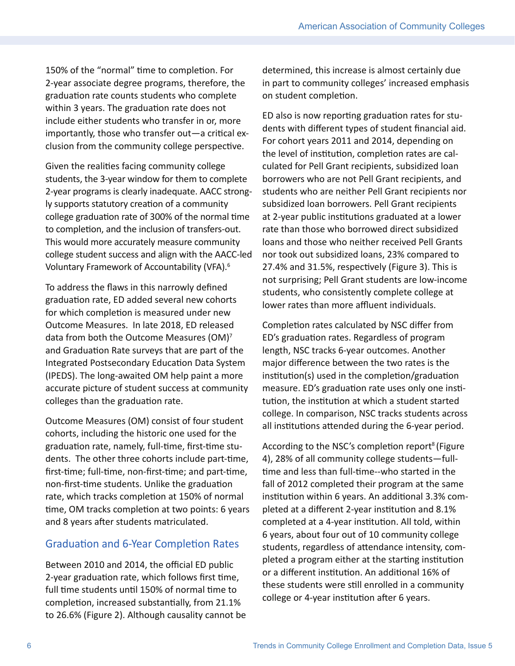150% of the "normal" time to completion. For 2-year associate degree programs, therefore, the graduation rate counts students who complete within 3 years. The graduation rate does not include either students who transfer in or, more importantly, those who transfer out—a critical exclusion from the community college perspective.

Given the realities facing community college students, the 3-year window for them to complete 2-year programs is clearly inadequate. AACC strongly supports statutory creation of a community college graduation rate of 300% of the normal time to completion, and the inclusion of transfers-out. This would more accurately measure community college student success and align with the AACC-led Voluntary Framework of Accountability (VFA).<sup>6</sup>

To address the flaws in this narrowly defined graduation rate, ED added several new cohorts for which completion is measured under new Outcome Measures. In late 2018, ED released data from both the Outcome Measures (OM)<sup>7</sup> and Graduation Rate surveys that are part of the Integrated Postsecondary Education Data System (IPEDS). The long-awaited OM help paint a more accurate picture of student success at community colleges than the graduation rate.

Outcome Measures (OM) consist of four student cohorts, including the historic one used for the graduation rate, namely, full-time, first-time students. The other three cohorts include part-time, first-time; full-time, non-first-time; and part-time, non-first-time students. Unlike the graduation rate, which tracks completion at 150% of normal time, OM tracks completion at two points: 6 years and 8 years after students matriculated.

### Graduation and 6-Year Completion Rates

Between 2010 and 2014, the official ED public 2-year graduation rate, which follows first time, full time students until 150% of normal time to completion, increased substantially, from 21.1% to 26.6% (Figure 2). Although causality cannot be determined, this increase is almost certainly due in part to community colleges' increased emphasis on student completion.

ED also is now reporting graduation rates for students with different types of student financial aid. For cohort years 2011 and 2014, depending on the level of institution, completion rates are calculated for Pell Grant recipients, subsidized loan borrowers who are not Pell Grant recipients, and students who are neither Pell Grant recipients nor subsidized loan borrowers. Pell Grant recipients at 2-year public institutions graduated at a lower rate than those who borrowed direct subsidized loans and those who neither received Pell Grants nor took out subsidized loans, 23% compared to 27.4% and 31.5%, respectively (Figure 3). This is not surprising; Pell Grant students are low-income students, who consistently complete college at lower rates than more affluent individuals.

Completion rates calculated by NSC differ from ED's graduation rates. Regardless of program length, NSC tracks 6-year outcomes. Another major difference between the two rates is the institution(s) used in the completion/graduation measure. ED's graduation rate uses only one institution, the institution at which a student started college. In comparison, NSC tracks students across all institutions attended during the 6-year period.

According to the NSC's completion report<sup>8</sup> (Figure 4), 28% of all community college students—fulltime and less than full-time--who started in the fall of 2012 completed their program at the same institution within 6 years. An additional 3.3% completed at a different 2-year institution and 8.1% completed at a 4-year institution. All told, within 6 years, about four out of 10 community college students, regardless of attendance intensity, completed a program either at the starting institution or a different institution. An additional 16% of these students were still enrolled in a community college or 4-year institution after 6 years.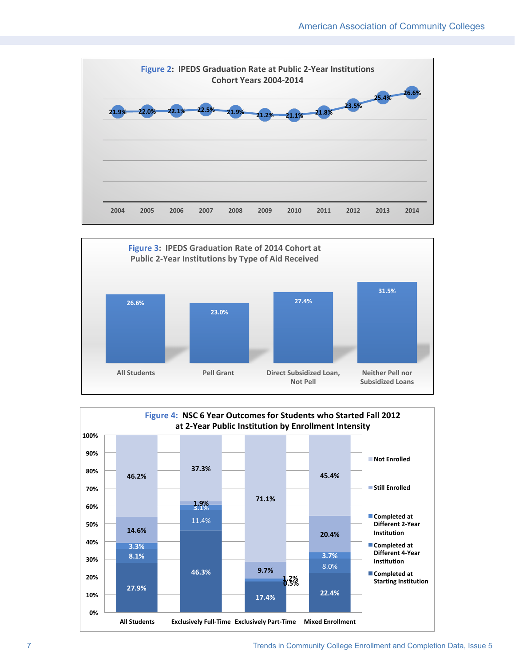



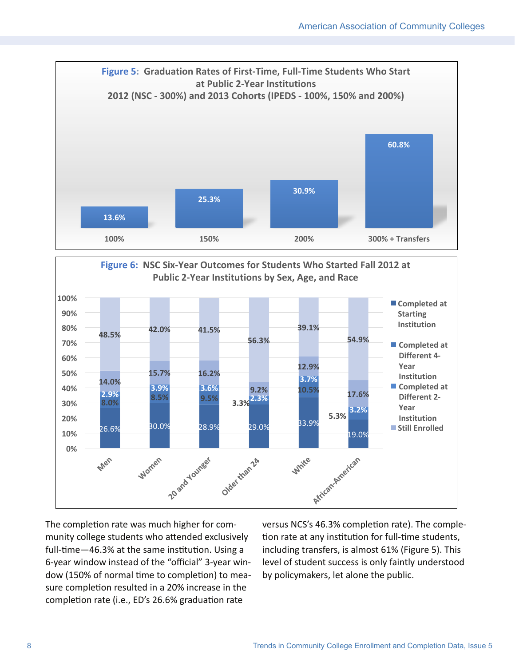



The completion rate was much higher for community college students who attended exclusively but then rate at any institution for full-time students full-time—46.3% at the same institution. Using a stincluding transfers, is almost 61% (Figure 5). Th 6-year window instead of the "official" 3-year win- level of student success is only faintly underst dow (150% of normal time to completion) to mea- by policymakers, let alone the public. sure completion resulted in a 20% increase in the  $\frac{1}{\sqrt{2}}$ completion rate (i.e., ED's 26.6% graduation rate

e completion rate was much higher for com-<br>The completion rate different sex and related by student sex, and all of the completion rate and all of the completion rate at any institution for full-time students, including transfers, is almost 61% (Figure 5). This level of student success is only faintly understood by policymakers, let alone the public.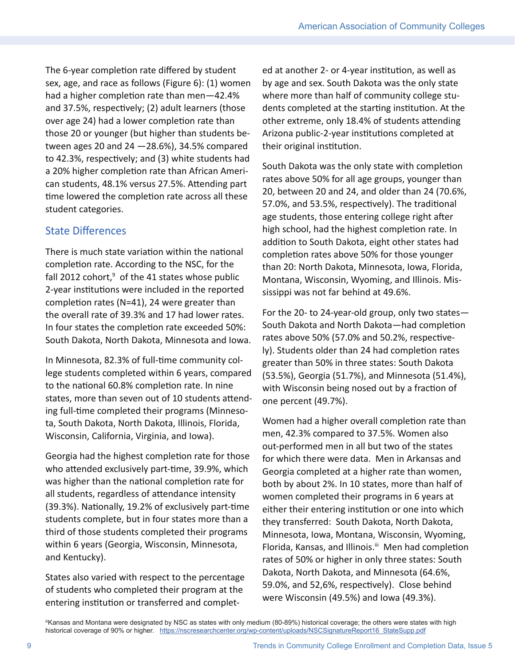The 6-year completion rate differed by student sex, age, and race as follows (Figure 6): (1) women had a higher completion rate than men—42.4% and 37.5%, respectively; (2) adult learners (those over age 24) had a lower completion rate than those 20 or younger (but higher than students between ages 20 and 24 —28.6%), 34.5% compared to 42.3%, respectively; and (3) white students had a 20% higher completion rate than African American students, 48.1% versus 27.5%. Attending part time lowered the completion rate across all these student categories.

#### State Differences

There is much state variation within the national completion rate. According to the NSC, for the fall 2012 cohort,<sup>9</sup> of the 41 states whose public 2-year institutions were included in the reported completion rates (N=41), 24 were greater than the overall rate of 39.3% and 17 had lower rates. In four states the completion rate exceeded 50%: South Dakota, North Dakota, Minnesota and Iowa.

In Minnesota, 82.3% of full-time community college students completed within 6 years, compared to the national 60.8% completion rate. In nine states, more than seven out of 10 students attending full-time completed their programs (Minnesota, South Dakota, North Dakota, Illinois, Florida, Wisconsin, California, Virginia, and Iowa).

Georgia had the highest completion rate for those who attended exclusively part-time, 39.9%, which was higher than the national completion rate for all students, regardless of attendance intensity (39.3%). Nationally, 19.2% of exclusively part-time students complete, but in four states more than a third of those students completed their programs within 6 years (Georgia, Wisconsin, Minnesota, and Kentucky).

States also varied with respect to the percentage of students who completed their program at the entering institution or transferred and completed at another 2- or 4-year institution, as well as by age and sex. South Dakota was the only state where more than half of community college students completed at the starting institution. At the other extreme, only 18.4% of students attending Arizona public-2-year institutions completed at their original institution.

South Dakota was the only state with completion rates above 50% for all age groups, younger than 20, between 20 and 24, and older than 24 (70.6%, 57.0%, and 53.5%, respectively). The traditional age students, those entering college right after high school, had the highest completion rate. In addition to South Dakota, eight other states had completion rates above 50% for those younger than 20: North Dakota, Minnesota, Iowa, Florida, Montana, Wisconsin, Wyoming, and Illinois. Mississippi was not far behind at 49.6%.

For the 20- to 24-year-old group, only two states— South Dakota and North Dakota—had completion rates above 50% (57.0% and 50.2%, respectively). Students older than 24 had completion rates greater than 50% in three states: South Dakota (53.5%), Georgia (51.7%), and Minnesota (51.4%), with Wisconsin being nosed out by a fraction of one percent (49.7%).

Women had a higher overall completion rate than men, 42.3% compared to 37.5%. Women also out-performed men in all but two of the states for which there were data. Men in Arkansas and Georgia completed at a higher rate than women, both by about 2%. In 10 states, more than half of women completed their programs in 6 years at either their entering institution or one into which they transferred: South Dakota, North Dakota, Minnesota, Iowa, Montana, Wisconsin, Wyoming, Florida, Kansas, and Illinois.<sup>ii</sup> Men had completion rates of 50% or higher in only three states: South Dakota, North Dakota, and Minnesota (64.6%, 59.0%, and 52,6%, respectively). Close behind were Wisconsin (49.5%) and Iowa (49.3%).

iiiKansas and Montana were designated by NSC as states with only medium (80-89%) historical coverage; the others were states with high historical coverage of 90% or higher. https://nscresearchcenter.org/wp-content/uploads/NSCSignatureReport16\_StateSupp.pdf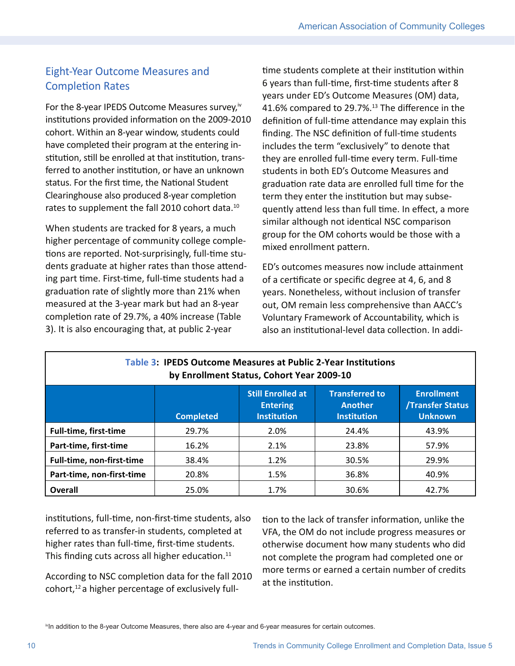# Eight-Year Outcome Measures and Completion Rates

For the 8-year IPEDS Outcome Measures survey,<sup>iv</sup> institutions provided information on the 2009-2010 cohort. Within an 8-year window, students could have completed their program at the entering institution, still be enrolled at that institution, transferred to another institution, or have an unknown students in both I status. For the first time, the National Student Clearinghouse also produced 8-year completion rates to supplement the fall 2010 cohort data.<sup>10</sup>

higher percentage of community college comple-<br>mixed enrollment pattern tions are reported. Not-surprisingly, full-time students graduate at higher rates than those attend-<br>
ED's outcomes measures now include attainm ing part time. First-time, full-time students had a graduation rate of slightly more than 21% when measured at the 3-year mark but had an 8-year completion rate of 29.7%, a 40% increase (Table 3). It is also encouraging that, at public 2-year

When students are tracked for 8 years, a much  $\frac{1}{2}$  and  $\frac{1}{2}$  are not for the OM separts would be these with a time students complete at their institution within 6 years than full-time, first-time students after 8 years under ED's Outcome Measures (OM) data, 41.6% compared to 29.7%.<sup>13</sup> The difference in the definition of full-time attendance may explain this finding. The NSC definition of full-time students includes the term "exclusively" to denote that they are enrolled full-time every term. Full-time students in both ED's Outcome Measures and graduation rate data are enrolled full time for the learinghouse also produced 8-year completion term they enter the institution but may subse-<br>https://www.lexamble.org/10.2010.org/articles/10 quently attend less than full time. In effect, a more similar although not identical NSC comparison  $\frac{1}{2}$  when students are tracked for 8 years a much similar although not identical NSC comparison group for the OM cohorts would be those with a mixed enrollment pattern.

ED's outcomes measures now include attainment ig part time. First-time, full-time students had a of a certificate or specific degree at 4, 6, and 8 raduation rate of slightly more than 21% when wears. Nonetheless, without inclusion of transfer ieasured at the 3-year mark but had an 8-year and the OM remain less comprehensive than AACC's ompletion rate of 29.7%, a 40% increase (Table  $\qquad$  Voluntary Framework of Accountability, which is ). It is also encouraging that, at public 2-year also an institutional-level data collection. In addi-

| by Enrollment Status, Cohort Year 2009-10 |                  |                                                                   |                                                               |                                                               |  |  |  |
|-------------------------------------------|------------------|-------------------------------------------------------------------|---------------------------------------------------------------|---------------------------------------------------------------|--|--|--|
|                                           | <b>Completed</b> | <b>Still Enrolled at</b><br><b>Entering</b><br><b>Institution</b> | <b>Transferred to</b><br><b>Another</b><br><b>Institution</b> | <b>Enrollment</b><br><b>Transfer Status</b><br><b>Unknown</b> |  |  |  |
| <b>Full-time, first-time</b>              | 29.7%            | 2.0%                                                              | 24.4%                                                         | 43.9%                                                         |  |  |  |
| Part-time, first-time                     | 16.2%            | 2.1%                                                              | 23.8%                                                         | 57.9%                                                         |  |  |  |
| Full-time, non-first-time                 | 38.4%            | 1.2%                                                              | 30.5%                                                         | 29.9%                                                         |  |  |  |
| Part-time, non-first-time                 | 20.8%            | 1.5%                                                              | 36.8%                                                         | 40.9%                                                         |  |  |  |
| <b>Overall</b>                            | 25.0%            | 1.7%                                                              | 30.6%                                                         | 42.7%                                                         |  |  |  |

# **Table 3: IPEDS Outcome Measures at Public 2-Year Institutions**

 $i$ nstitutions, full-time, non-first-time students, also tio referred to as transfer-in students, completed at  $\qquad$  VFA, the OM do not include progress measures or higher rates than full-time, first-time students.  $\qquad \qquad$  ot This finding cuts across all higher education.<sup>11</sup> and complete the program had completed one

According to NSC completion data for the fall  $2010$  at the institution. cohort,<sup>12</sup> a higher percentage of exclusively full- $\frac{a}{b}$  and  $\frac{b}{c}$  more comparison.

tion to the lack of transfer information, unlike the VFA, the OM do not include progress measures or otherwise document how many students who did not complete the program had completed one or excribe to NSC completion data for the foll 2010 more terms or earned a certain number of credits at the institution.

<sup>iv</sup>In addition to the 8-year Outcome Measures, there also are 4-year and 6-year measures for certain outcomes.<br>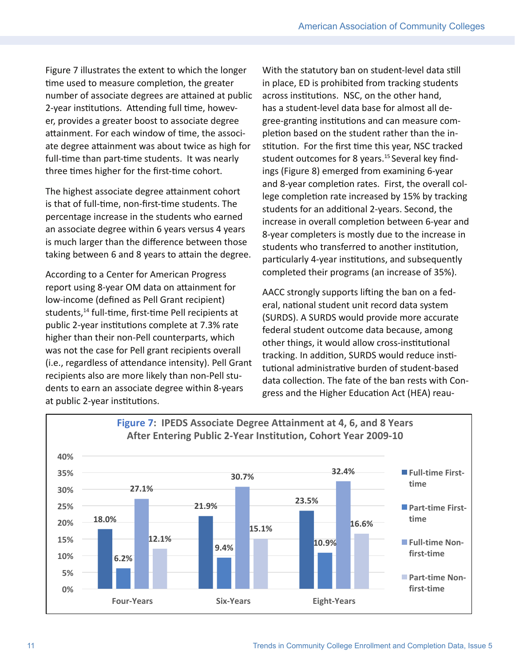Figure 7 illustrates the extent to which the longer time used to measure completion, the greater number of associate degrees are attained at public 2-year institutions. Attending full time, however, provides a greater boost to associate degree attainment. For each window of time, the associate degree attainment was about twice as high for full-time than part-time students. It was nearly three times higher for the first-time cohort.

The highest associate degree attainment cohort is that of full-time, non-first-time students. The percentage increase in the students who earned an associate degree within 6 years versus 4 years is much larger than the difference between those taking between 6 and 8 years to attain the degree.

According to a Center for American Progress report using 8-year OM data on attainment for low-income (defined as Pell Grant recipient) students,<sup>14</sup> full-time, first-time Pell recipients at public 2-year institutions complete at 7.3% rate higher than their non-Pell counterparts, which was not the case for Pell grant recipients overall (i.e., regardless of attendance intensity). Pell Grant recipients also are more likely than non-Pell students to earn an associate degree within 8-years at public 2-year institutions.

With the statutory ban on student-level data still in place, ED is prohibited from tracking students across institutions. NSC, on the other hand, has a student-level data base for almost all degree-granting institutions and can measure completion based on the student rather than the institution. For the first time this year, NSC tracked student outcomes for 8 years.<sup>15</sup> Several key findings (Figure 8) emerged from examining 6-year and 8-year completion rates. First, the overall college completion rate increased by 15% by tracking students for an additional 2-years. Second, the increase in overall completion between 6-year and 8-year completers is mostly due to the increase in students who transferred to another institution, particularly 4-year institutions, and subsequently completed their programs (an increase of 35%).

AACC strongly supports lifting the ban on a federal, national student unit record data system (SURDS). A SURDS would provide more accurate federal student outcome data because, among other things, it would allow cross-institutional tracking. In addition, SURDS would reduce institutional administrative burden of student-based data collection. The fate of the ban rests with Congress and the Higher Education Act (HEA) reau-

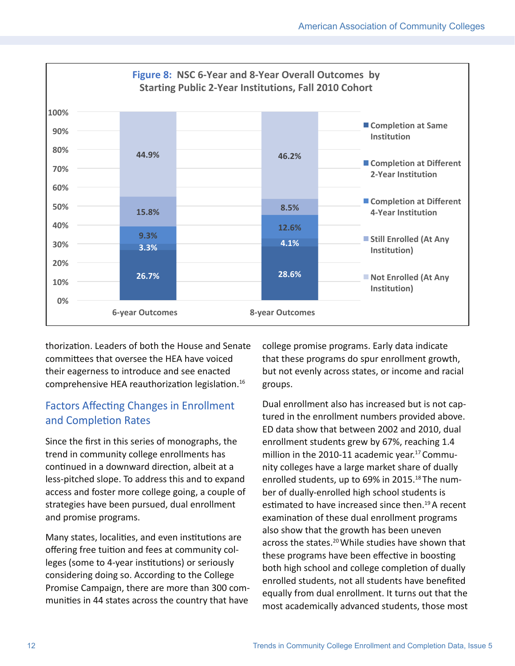

thorization. Leaders of both the House and Senate college promise programs. Early data indicate committees that oversee the HEA have voiced their eagerness to introduce and see enacted comprehensive HEA reauthorization legislation.<sup>16</sup> groups. committees that oversee the HEA have voiced hthat these programs do spur enrollment growth, their eagerness to introduce and see enacted but not evenly across states, or income and racial

# Factors Affecting Changes in Enrollment and Dual enrollment also has increased by the least of the least of the and Completion Rates

Since the first in this series of monographs, the enrollment students grew between trend in community college enrollments has continued in a downward direction, albeit at a extintly colleges have a large market share of dual access and foster more college going, a couple of ber of dually-enrolled high sc strategies have been pursued, dual enrollment and promise programs.

Many states, localities, and even institutions are all across the states 20 M/bile studies baye shown offering free tuition and fees at community col-<br>these programs baye hoop offective in boostinot leges (some to 4-year institutions) or seriously considering doing so. According to the College munities in 44 states across the country that have the read environment is valued to the

college promise programs. Early data indicate groups.

less-pitched slope. To address this and to expand annolled students, up to 69% in 2015.<sup>18</sup> The num-Promise Campaign, there are more than 300 com-<br>
aqually from dual oprollment. It turns out that the Factors Affecting Changes in Enrollment bual enrollment also has increased but is not captured in the enrollment numbers provided above. ED data show that between 2002 and 2010, dual enrollment students grew by 67%, reaching 1.4 million in the 2010-11 academic year.<sup>17</sup> Community colleges have a large market share of dually enrolled students, up to 69% in 2015. $18$  The number of dually-enrolled high school students is estimated to have increased since then.<sup>19</sup> A recent and promise programs. The states of these dual enrollment programs also show that the growth has been uneven across the states.<sup>20</sup> While studies have shown that these programs have been effective in boosting both high school and college completion of dually enrolled students, not all students have benefited equally from dual enrollment. It turns out that the mannies in 44 states across the country that have most academically advanced students, those most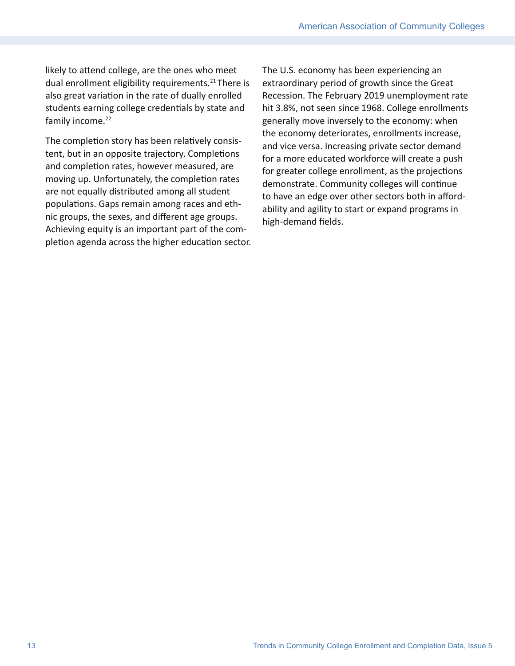likely to attend college, are the ones who meet dual enrollment eligibility requirements.<sup>21</sup> There is also great variation in the rate of dually enrolled students earning college credentials by state and family income.<sup>22</sup>

The completion story has been relatively consistent, but in an opposite trajectory. Completions and completion rates, however measured, are moving up. Unfortunately, the completion rates are not equally distributed among all student populations. Gaps remain among races and ethnic groups, the sexes, and different age groups. Achieving equity is an important part of the completion agenda across the higher education sector. The U.S. economy has been experiencing an extraordinary period of growth since the Great Recession. The February 2019 unemployment rate hit 3.8%, not seen since 1968. College enrollments generally move inversely to the economy: when the economy deteriorates, enrollments increase, and vice versa. Increasing private sector demand for a more educated workforce will create a push for greater college enrollment, as the projections demonstrate. Community colleges will continue to have an edge over other sectors both in affordability and agility to start or expand programs in high-demand fields.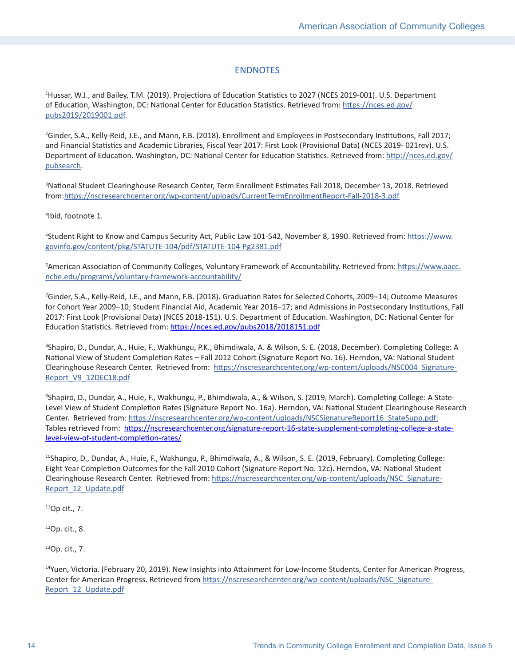#### ENDNOTES

1 Hussar, W.J., and Bailey, T.M. (2019). Projections of Education Statistics to 2027 (NCES 2019-001). U.S. Department of Education, Washington, DC: National Center for Education Statistics. Retrieved from: https://nces.ed.gov/ pubs2019/2019001.pdf.

2 Ginder, S.A., Kelly-Reid, J.E., and Mann, F.B. (2018). Enrollment and Employees in Postsecondary Institutions, Fall 2017; and Financial Statistics and Academic Libraries, Fiscal Year 2017: First Look (Provisional Data) (NCES 2019- 021rev). U.S. Department of Education. Washington, DC: National Center for Education Statistics. Retrieved from: http://nces.ed.gov/ pubsearch.

3 National Student Clearinghouse Research Center, Term Enrollment Estimates Fall 2018, December 13, 2018. Retrieved from:https://nscresearchcenter.org/wp-content/uploads/CurrentTermEnrollmentReport-Fall-2018-3.pdf

4 Ibid, footnote 1.

<sup>5</sup>Student Right to Know and Campus Security Act, Public Law 101-542, November 8, 1990. Retrieved from: <u>https://www.</u> govinfo.gov/content/pkg/STATUTE-104/pdf/STATUTE-104-Pg2381.pdf

<sup>6</sup>American Association of Community Colleges, Voluntary Framework of Accountability. Retrieved from: https://www.aacc. nche.edu/programs/voluntary-framework-accountability/

7 Ginder, S.A., Kelly-Reid, J.E., and Mann, F.B. (2018). Graduation Rates for Selected Cohorts, 2009–14; Outcome Measures for Cohort Year 2009–10; Student Financial Aid, Academic Year 2016–17; and Admissions in Postsecondary Institutions, Fall 2017: First Look (Provisional Data) (NCES 2018-151). U.S. Department of Education. Washington, DC: National Center for Education Statistics. Retrieved from: https://nces.ed.gov/pubs2018/2018151.pdf

8 Shapiro, D., Dundar, A., Huie, F., Wakhungu, P.K., Bhimdiwala, A. & Wilson, S. E. (2018, December). Completing College: A National View of Student Completion Rates – Fall 2012 Cohort (Signature Report No. 16). Herndon, VA: National Student Clearinghouse Research Center. Retrieved from: https://nscresearchcenter.org/wp-content/uploads/NSC004\_Signature-Report\_V9\_12DEC18.pdf

9 Shapiro, D., Dundar, A., Huie, F., Wakhungu, P., Bhimdiwala, A., & Wilson, S. (2019, March). Completing College: A State-Level View of Student Completion Rates (Signature Report No. 16a). Herndon, VA: National Student Clearinghouse Research Center. Retrieved from: https://nscresearchcenter.org/wp-content/uploads/NSCSignatureReport16\_StateSupp.pdf; Tables retrieved from: https://nscresearchcenter.org/signature-report-16-state-supplement-completing-college-a-statelevel-view-of-student-completion-rates/

<sup>10</sup>Shapiro, D., Dundar, A., Huie, F., Wakhungu, P., Bhimdiwala, A., & Wilson, S. E. (2019, February). Completing College: Eight Year Completion Outcomes for the Fall 2010 Cohort (Signature Report No. 12c). Herndon, VA: National Student Clearinghouse Research Center. Retrieved from: https://nscresearchcenter.org/wp-content/uploads/NSC\_Signature-Report\_12\_Update.pdf

<sup>11</sup>Op cit., 7.

 $^{12}$ Op. cit., 8.

<sup>13</sup>Op. cit., 7.

<sup>14</sup>Yuen, Victoria. (February 20, 2019). New Insights into Attainment for Low-Income Students, Center for American Progress, Center for American Progress. Retrieved from https://nscresearchcenter.org/wp-content/uploads/NSC\_Signature-Report\_12\_Update.pdf